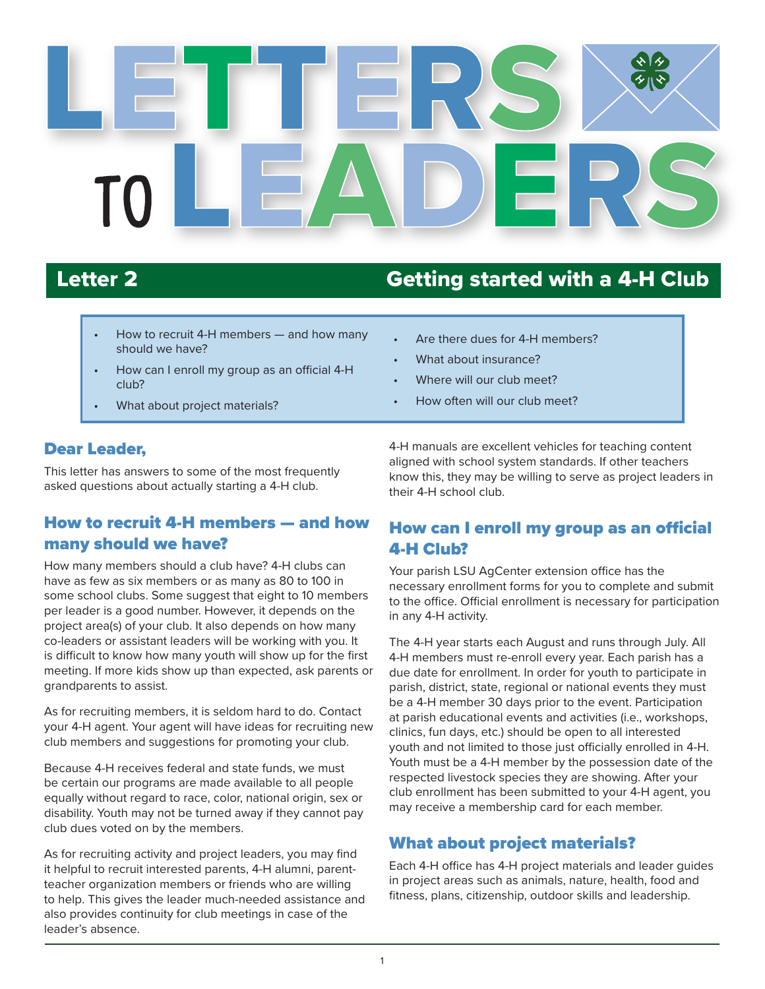

# Letter 2 Getting started with a 4-H Club

- How to recruit 4-H members and how many should we have?
- How can I enroll my group as an official 4-H club?
- What about project materials?

#### Are there dues for 4-H members?

- What about insurance?
- Where will our club meet?
- How often will our club meet?

#### Dear Leader,

This letter has answers to some of the most frequently asked questions about actually starting a 4-H club.

### How to recruit 4-H members — and how many should we have?

How many members should a club have? 4-H clubs can have as few as six members or as many as 80 to 100 in some school clubs. Some suggest that eight to 10 members per leader is a good number. However, it depends on the project area(s) of your club. It also depends on how many co-leaders or assistant leaders will be working with you. It is difficult to know how many youth will show up for the first meeting. If more kids show up than expected, ask parents or grandparents to assist.

As for recruiting members, it is seldom hard to do. Contact your 4-H agent. Your agent will have ideas for recruiting new club members and suggestions for promoting your club.

Because 4-H receives federal and state funds, we must be certain our programs are made available to all people equally without regard to race, color, national origin, sex or disability. Youth may not be turned away if they cannot pay club dues voted on by the members.

As for recruiting activity and project leaders, you may find it helpful to recruit interested parents, 4-H alumni, parentteacher organization members or friends who are willing to help. This gives the leader much-needed assistance and also provides continuity for club meetings in case of the leader's absence.

4-H manuals are excellent vehicles for teaching content aligned with school system standards. If other teachers know this, they may be willing to serve as project leaders in their 4-H school club.

#### How can I enroll my group as an official 4-H Club?

Your parish LSU AgCenter extension office has the necessary enrollment forms for you to complete and submit to the office. Official enrollment is necessary for participation in any 4-H activity.

The 4-H year starts each August and runs through July. All 4-H members must re-enroll every year. Each parish has a due date for enrollment. In order for youth to participate in parish, district, state, regional or national events they must be a 4-H member 30 days prior to the event. Participation at parish educational events and activities (i.e., workshops, clinics, fun days, etc.) should be open to all interested youth and not limited to those just officially enrolled in 4-H. Youth must be a 4-H member by the possession date of the respected livestock species they are showing. After your club enrollment has been submitted to your 4-H agent, you may receive a membership card for each member.

#### What about project materials?

Each 4-H office has 4-H project materials and leader guides in project areas such as animals, nature, health, food and fitness, plans, citizenship, outdoor skills and leadership.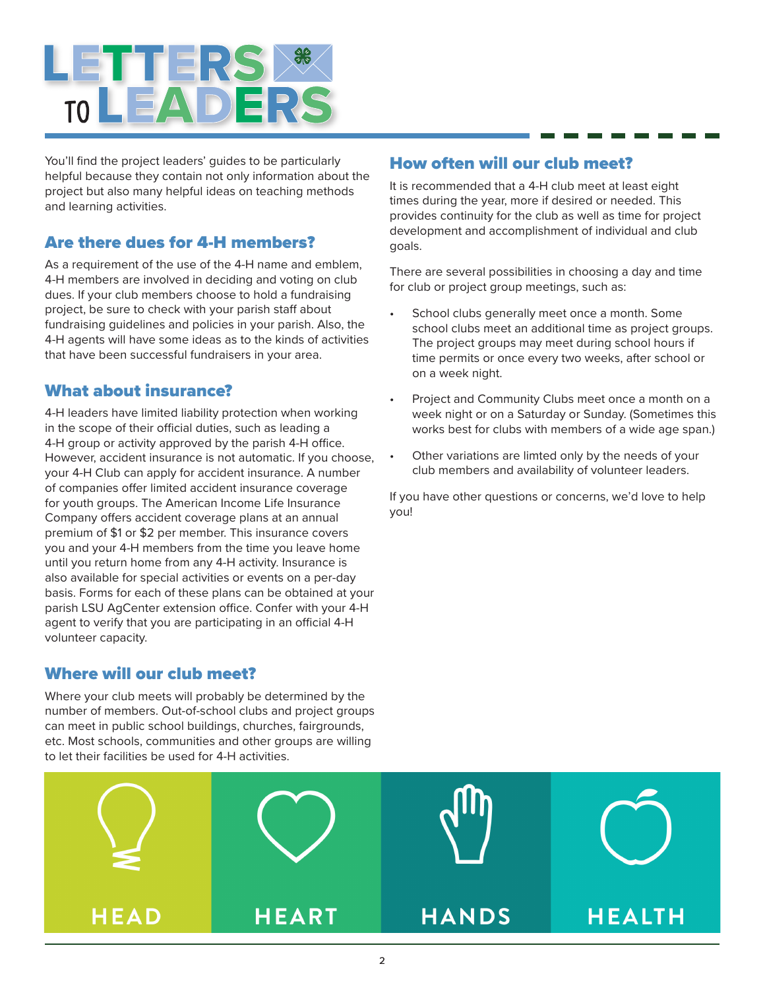

You'll find the project leaders' guides to be particularly helpful because they contain not only information about the project but also many helpful ideas on teaching methods and learning activities.

#### Are there dues for 4-H members?

As a requirement of the use of the 4-H name and emblem, 4-H members are involved in deciding and voting on club dues. If your club members choose to hold a fundraising project, be sure to check with your parish staff about fundraising guidelines and policies in your parish. Also, the 4-H agents will have some ideas as to the kinds of activities that have been successful fundraisers in your area.

#### What about insurance?

4-H leaders have limited liability protection when working in the scope of their official duties, such as leading a 4-H group or activity approved by the parish 4-H office. However, accident insurance is not automatic. If you choose, your 4-H Club can apply for accident insurance. A number of companies offer limited accident insurance coverage for youth groups. The American Income Life Insurance Company offers accident coverage plans at an annual premium of \$1 or \$2 per member. This insurance covers you and your 4-H members from the time you leave home until you return home from any 4-H activity. Insurance is also available for special activities or events on a per-day basis. Forms for each of these plans can be obtained at your parish LSU AgCenter extension office. Confer with your 4-H agent to verify that you are participating in an official 4-H volunteer capacity.

#### Where will our club meet?

Where your club meets will probably be determined by the number of members. Out-of-school clubs and project groups can meet in public school buildings, churches, fairgrounds, etc. Most schools, communities and other groups are willing to let their facilities be used for 4-H activities.

#### How often will our club meet?

It is recommended that a 4-H club meet at least eight times during the year, more if desired or needed. This provides continuity for the club as well as time for project development and accomplishment of individual and club goals.

There are several possibilities in choosing a day and time for club or project group meetings, such as:

- School clubs generally meet once a month. Some school clubs meet an additional time as project groups. The project groups may meet during school hours if time permits or once every two weeks, after school or on a week night.
- Project and Community Clubs meet once a month on a week night or on a Saturday or Sunday. (Sometimes this works best for clubs with members of a wide age span.)
- Other variations are limted only by the needs of your club members and availability of volunteer leaders.

If you have other questions or concerns, we'd love to help you!